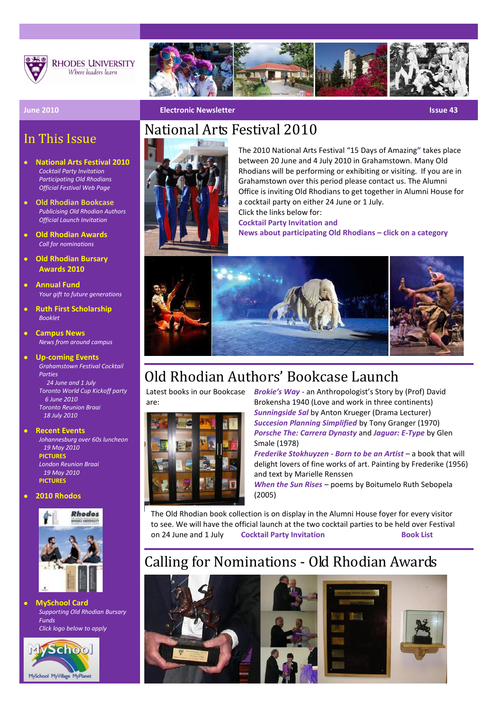

**RHODES UNIVERSITY** Where leaders learn



#### **June 2010 Electronic Newsletter Issue 43 Electronic Newsletter** Issue 43

### In This Issue

- **National Art[s Festival](http://www.ru.ac.za/modules/blog_include/blog_content.php?blog_id=980) 2010** *[Cocktail Party Invitation](http://www.ru.ac.za/alumni/news/nationalartsfestival2010) [Participating Old Rhodians](http://www.ru.ac.za/alumni/news/nationalartsfestival2010) [Official Festival Web Page](http://www.nationalartsfestival.co.za/)*
- $\bullet$ **[Old](http://www.ru.ac.za/alumni/news/hotgossip/publishedbooks) Rhodian Bookcase** *[Publicising Old Rhodian Authors](http://www.ru.ac.za/alumni/news/oldrhodianauthors) [Official Launch Invitation](http://www.ru.ac.za/alumni/news/nationalartsfestival2010)*
- **[Old](http://www.myvirtualpaper.com/doc/rhodes_university/rhodos_april/2010032201/) Rhodian Awards**  *[Call for nominations](http://www.ru.ac.za/alumni/oldrhodianunion/oldrhodianawards)*
- **[Old Rhodian Bursary](http://www.ru.ac.za/alumni/oldrhodianunion/orubursaryawards)  [Awards 2010](http://www.ru.ac.za/alumni/oldrhodianunion/orubursaryawards)**
- **[Annual Fund](http://www.ru.ac.za/annualfund/)** *Your gift to future generations*
- **[Ruth First Scholarship](http://www.ru.ac.za/documents/RU%20Home/Scholarship%20booklet%20for%20web.pdf)** *Booklet*
- **[Campus News](http://www.ru.ac.za/modules/blog_include/blog_archive.php?page_id=1)** *News from around campus*
- **Up-coming Events** *[Grahamstown Festival Cocktail](http://www.ru.ac.za/alumni/news/nationalartsfestival2010)  [Parties](http://www.ru.ac.za/alumni/news/nationalartsfestival2010)  [24 June and 1 July](http://www.ru.ac.za/alumni/news/nationalartsfestival2010) [Toronto](http://www.ru.ac.za/alumni/gettingtogether/reunions/toronto) World Cup Kickoff party 6 June 2010 Toronto Reunion Braai*

 *18 July 2010*

**Recent Events**

*Johannesburg over 60s luncheon 19 May 2010* **[PICTURES](http://www/static/gallery/v/Alumni/Joburg+Luncheon+May+2010/)** *London Reunion Braai 19 May 2010* **[PICTURES](http://www.ru.ac.za/static/gallery/v/Alumni/UK+Reunion+2010/)**

#### **2010 Rhodos**



**MySchool Card** *Supporting Old Rhodian Bursary Funds Click logo below to apply*



 $\overline{\mathbf{C}}$ 

# National Arts Festival 2010



The 2010 National Arts Festival "15 Days of Amazing**"** takes place between 20 June and 4 July 2010 in Grahamstown. Many Old Rhodians will be performing or exhibiting or visiting. If you are in Grahamstown over this period please contact us. The Alumni Office is inviting Old Rhodians to get together in Alumni House for a cocktail party on either 24 June or 1 July. Click the links below for:

**[Cocktail Party Invitation](http://www.ru.ac.za/alumni/news/nationalartsfestival2010) and**

**[News about participating Old Rhodians](http://www.ru.ac.za/alumni/news/nationalartsfestival2010) – click on a category**



# Old Rhodian Authors' Bookcase Launch

Latest books in our Bookcase are:



*Brokie's Way* - an Anthropologist's Story by (Prof) David Brokensha 1940 (Love and work in three continents) *Sunningside Sal* by Anton Krueger (Drama Lecturer) *Succesion Planning Simplified* by Tony Granger (1970) *Porsche The: Carrera Dynasty* and *Jaguar: E-Type* by Glen Smale (1978)

*Frederike Stokhuyzen - Born to be an Artist* – a book that will delight lovers of fine works of art. Painting by Frederike (1956) and text by Marielle Renssen

*When the Sun Rises* – poems by Boitumelo Ruth Sebopela (2005)

. The Old Rhodian book collection is on display in the Alumni House foyer for every visitor to see. We will have the official launch at the two cocktail parties to be held over Festival on 24 June and 1 July **[Cocktail Party Invitation](http://www.ru.ac.za/alumni/news/nationalartsfestival2010) [Book List](http://www.ru.ac.za/alumni/news/oldrhodianauthors)**

## Calling for Nominations - Old Rhodian Awards

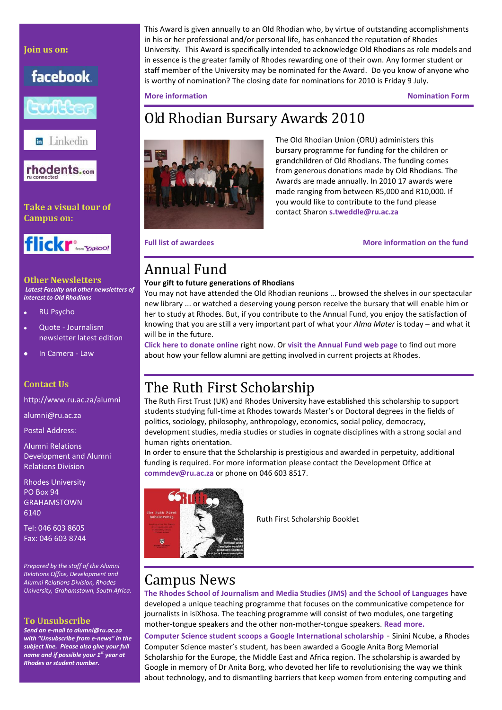### **Join us on:**

facebook.



**En** Linkedin



**Take a visual tour of Campus on:**



**Other Newsletters**  *Latest Faculty and other newsletters of interest to Old Rhodians* 

- [RU Psycho](https://www.ru.ac.za/documents/Psychology/Newsletter%202009%20Final.pdf)  $\bullet$
- Quote [Journalism](http://www.ru.ac.za/jms/publications/quote)  $\bullet$ newsletter latest edition
- k [In Camera -](https://www.ru.ac.za/documents/Law/10-Students/InCamera%202009%20for%20web.pdf) Law

#### **Contact Us**

<http://www.ru.ac.za/alumni>

[alumni@ru.ac.za](mailto:alumni@ru.ac.za)

Postal Address:

Alumni Relations Development and Alumni Relations Division

Rhodes University PO Box 94 GRAHAMSTOWN 6140

Tel: 046 603 8605 Fax: 046 603 8744

*Prepared by the staff of the Alumni Relations Office, Development and Alumni Relations Division, Rhodes University, Grahamstown, South Africa.*

#### **To Unsubscribe**

*Send an e-mail t[o alumni@ru.ac.za](mailto:alumni@ru.ac.za) with "Unsubscribe from e-news" in the subject line. Please also give your full name and if possible your 1st year at Rhodes or student number.* 

This Award is given annually to an Old Rhodian who, by virtue of outstanding accomplishments in his or her professional and/or personal life, has enhanced the reputation of Rhodes University. This Award is specifically intended to acknowledge Old Rhodians as role models and in essence is the greater family of Rhodes rewarding one of their own. Any former student or staff member of the University may be nominated for the Award. Do you know of anyone who is worthy of nomination? The closing date for nominations for 2010 is Friday 9 July.

**[More information](http://www.ru.ac.za/alumni/oldrhodianunion/oldrhodianawards) [Nomination Form](https://www.ru.ac.za/documents/Alumni/Nomination%20form%20only2010.pdf)**

## Old Rhodian Bursary Awards 2010



The Old Rhodian Union (ORU) administers this bursary programme for funding for the children or grandchildren of Old Rhodians. The funding comes from generous donations made by Old Rhodians. The Awards are made annually. In 2010 17 awards were made ranging from between R5,000 and R10,000. If you would like to contribute to the fund please contact Sharon **[s.tweddle@ru.ac.za](mailto:s.tweddle@ru.ac.za)**

**Full list of awardees** *Allen awardees [More information on the fund](http://www.ru.ac.za/alumni/oldrhodianunion/orubursaryawards)* 

### Annual Fund

#### **Your gift to future generations of Rhodians**

You may not have attended the Old Rhodian reunions ... browsed the shelves in our spectacular new library ... or watched a deserving young person receive the bursary that will enable him or her to study at Rhodes. But, if you contribute to the Annual Fund, you enjoy the satisfaction of knowing that you are still a very important part of what your *Alma Mater* is today – and what it will be in the future.

**[Click here](http://www.ru.ac.za/annualfund/fundingneeds/bursaries) to donate online** right now. Or **[visit the Annual Fund web page](http://www.ru.ac.za/annualfund)** to find out more about how your fellow alumni are getting involved in current projects at Rhodes.

### The Ruth First Scholarship

The Ruth First Trust (UK) and Rhodes University have established this scholarship to support students studying full-time at Rhodes towards Master's or Doctoral degrees in the fields of politics, sociology, philosophy, anthropology, economics, social policy, democracy, development studies, media studies or studies in cognate disciplines with a strong social and human rights orientation.

In order to ensure that the Scholarship is prestigious and awarded in perpetuity, additional funding is required. For more information please contact the Development Office at **[commdev@ru.ac.za](mailto:commdev@ru.ac.za)** or phone on 046 603 8517.



Ruth First Scholarship Booklet

### Campus News

**The Rhodes School of Journalism and Media Studies (JMS) and the School of Languages** have developed a unique teaching programme that focuses on the communicative competence for journalists in isiXhosa. The teaching programme will consist of two modules, one targeting mother-tongue speakers and the other non-mother-tongue speakers. **[Read more.](http://www.ru.ac.za/modules/blog_include/blog_content.php?blog_id=1123)**

**Computer Science student scoops a Google International scholarship** - Sinini Ncube, a Rhodes Computer Science master's student, has been awarded a Google Anita Borg Memorial Scholarship for the Europe, the Middle East and Africa region. The scholarship is awarded by Google in memory of Dr Anita Borg, who devoted her life to revolutionising the way we think about technology, and to dismantling barriers that keep women from entering computing and